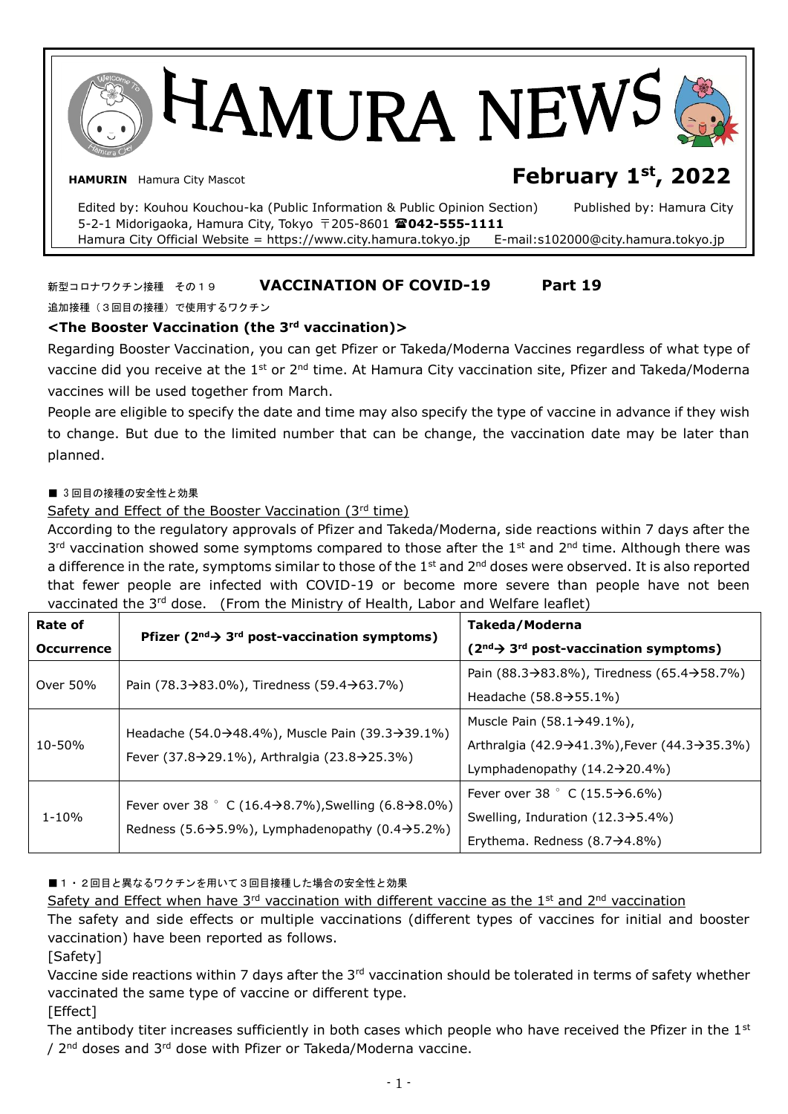HAMURA NEW **HAMURIN** Hamura City Mascot **February 1st, 2022**

Edited by: Kouhou Kouchou-ka (Public Information & Public Opinion Section) Published by: Hamura City 5-2-1 Midorigaoka, Hamura City, Tokyo 〒205-8601 **042-555-1111**  Hamura City Official Website = https://www.city.hamura.tokyo.jp E-mail:s102000@city.hamura.tokyo.jp

## 新型コロナワクチン接種 その19 **VACCINATION OF COVID-19 Part 19**

追加接種(3回目の接種)で使用するワクチン

## **<The Booster Vaccination (the 3rd vaccination)>**

Regarding Booster Vaccination, you can get Pfizer or Takeda/Moderna Vaccines regardless of what type of vaccine did you receive at the 1<sup>st</sup> or 2<sup>nd</sup> time. At Hamura City vaccination site, Pfizer and Takeda/Moderna vaccines will be used together from March.

People are eligible to specify the date and time may also specify the type of vaccine in advance if they wish to change. But due to the limited number that can be change, the vaccination date may be later than planned.

#### ■ 3回目の接種の安全性と効果

## Safety and Effect of the Booster Vaccination (3rd time)

According to the regulatory approvals of Pfizer and Takeda/Moderna, side reactions within 7 days after the 3<sup>rd</sup> vaccination showed some symptoms compared to those after the 1<sup>st</sup> and 2<sup>nd</sup> time. Although there was a difference in the rate, symptoms similar to those of the 1<sup>st</sup> and 2<sup>nd</sup> doses were observed. It is also reported that fewer people are infected with COVID-19 or become more severe than people have not been vaccinated the 3<sup>rd</sup> dose. (From the Ministry of Health, Labor and Welfare leaflet)

| Rate of           | Pfizer ( $2^{nd}$ ) $3^{rd}$ post-vaccination symptoms)                    | Takeda/Moderna                                                          |  |  |
|-------------------|----------------------------------------------------------------------------|-------------------------------------------------------------------------|--|--|
| <b>Occurrence</b> |                                                                            | $(2nd \rightarrow 3rd post-vaccination symptoms)$                       |  |  |
| Over 50%          | Pain (78.3 $\rightarrow$ 83.0%), Tiredness (59.4 $\rightarrow$ 63.7%)      | Pain (88.3 $\rightarrow$ 83.8%), Tiredness (65.4 $\rightarrow$ 58.7%)   |  |  |
|                   |                                                                            | Headache $(58.8 \rightarrow 55.1\%)$                                    |  |  |
| 10-50%            | Headache (54.0→48.4%), Muscle Pain (39.3→39.1%)                            | Muscle Pain $(58.1 \rightarrow 49.1\%)$ ,                               |  |  |
|                   | Fever (37.8→29.1%), Arthralgia (23.8→25.3%)                                | Arthralgia (42.9 $\rightarrow$ 41.3%), Fever (44.3 $\rightarrow$ 35.3%) |  |  |
|                   |                                                                            | Lymphadenopathy $(14.2 \rightarrow 20.4\%)$                             |  |  |
| 1-10%             | Fever over 38 ° C (16.4→8.7%), Swelling (6.8→8.0%)                         | Fever over 38 $^{\circ}$ C (15.5 $\rightarrow$ 6.6%)                    |  |  |
|                   |                                                                            | Swelling, Induration $(12.3 \rightarrow 5.4\%)$                         |  |  |
|                   | Redness (5.6 $\rightarrow$ 5.9%), Lymphadenopathy (0.4 $\rightarrow$ 5.2%) | Erythema. Redness $(8.7 \rightarrow 4.8\%)$                             |  |  |

## ■1・2回目と異なるワクチンを用いて3回目接種した場合の安全性と効果

Safety and Effect when have 3<sup>rd</sup> vaccination with different vaccine as the 1<sup>st</sup> and 2<sup>nd</sup> vaccination

The safety and side effects or multiple vaccinations (different types of vaccines for initial and booster vaccination) have been reported as follows.

[Safety]

Vaccine side reactions within 7 days after the  $3<sup>rd</sup>$  vaccination should be tolerated in terms of safety whether vaccinated the same type of vaccine or different type.

[Effect]

The antibody titer increases sufficiently in both cases which people who have received the Pfizer in the  $1<sup>st</sup>$ / 2<sup>nd</sup> doses and 3<sup>rd</sup> dose with Pfizer or Takeda/Moderna vaccine.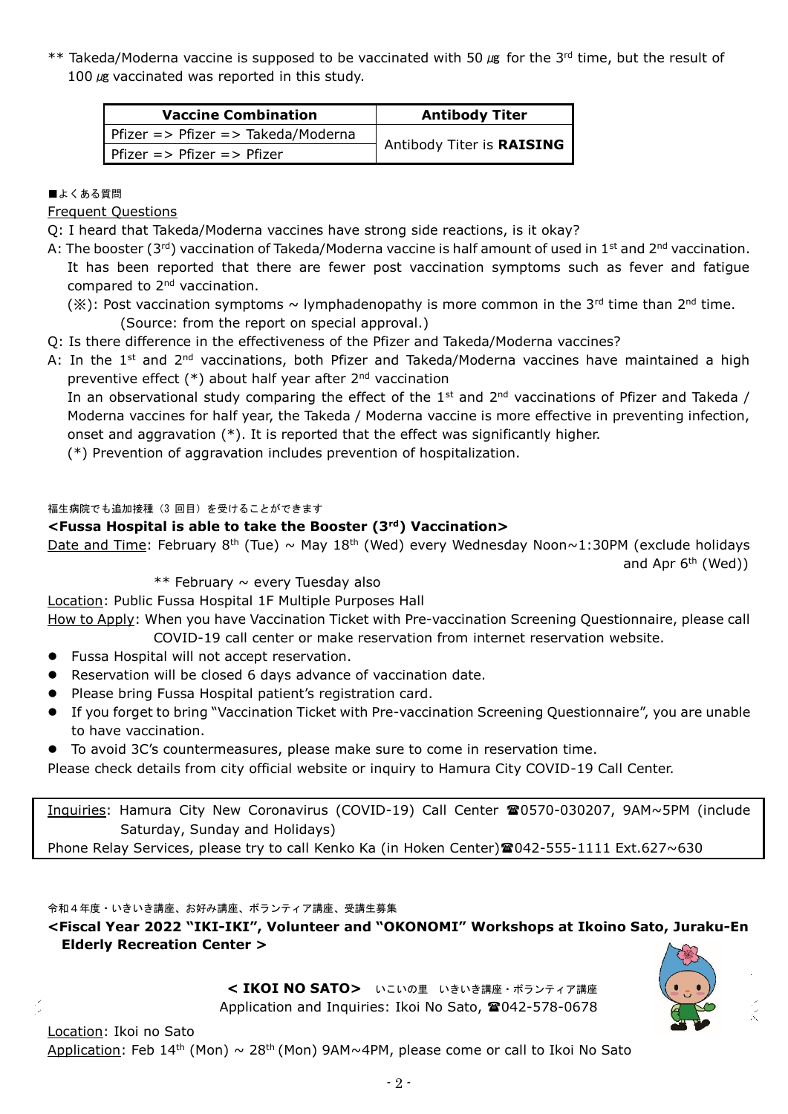\*\* Takeda/Moderna vaccine is supposed to be vaccinated with 50  $\mu$ g for the 3<sup>rd</sup> time, but the result of 100  $\mu$ g vaccinated was reported in this study.

| <b>Vaccine Combination</b>                       | <b>Antibody Titer</b>       |  |  |
|--------------------------------------------------|-----------------------------|--|--|
| Pfizer => Pfizer => Takeda/Moderna               |                             |  |  |
| Pfizer $\Rightarrow$ Pfizer $\Rightarrow$ Pfizer | ' Antibody Titer is RAISING |  |  |

## ■よくある質問

Frequent Questions

Q: I heard that Takeda/Moderna vaccines have strong side reactions, is it okay?

- A: The booster (3<sup>rd</sup>) vaccination of Takeda/Moderna vaccine is half amount of used in 1<sup>st</sup> and 2<sup>nd</sup> vaccination. It has been reported that there are fewer post vaccination symptoms such as fever and fatigue compared to 2nd vaccination.
	- (※): Post vaccination symptoms ~ lymphadenopathy is more common in the 3<sup>rd</sup> time than 2<sup>nd</sup> time. (Source: from the report on special approval.)
- Q: Is there difference in the effectiveness of the Pfizer and Takeda/Moderna vaccines?
- A: In the 1<sup>st</sup> and 2<sup>nd</sup> vaccinations, both Pfizer and Takeda/Moderna vaccines have maintained a high preventive effect  $(*)$  about half year after  $2^{nd}$  vaccination

In an observational study comparing the effect of the  $1<sup>st</sup>$  and  $2<sup>nd</sup>$  vaccinations of Pfizer and Takeda / Moderna vaccines for half year, the Takeda / Moderna vaccine is more effective in preventing infection, onset and aggravation  $(*)$ . It is reported that the effect was significantly higher.

(\*) Prevention of aggravation includes prevention of hospitalization.

## 福生病院でも追加接種(3 回目)を受けることができます

## **<Fussa Hospital is able to take the Booster (3rd) Vaccination>**

Date and Time: February 8<sup>th</sup> (Tue) ~ May 18<sup>th</sup> (Wed) every Wednesday Noon~1:30PM (exclude holidays and Apr  $6<sup>th</sup>$  (Wed))

 $**$  February  $\sim$  every Tuesday also

Location: Public Fussa Hospital 1F Multiple Purposes Hall

How to Apply: When you have Vaccination Ticket with Pre-vaccination Screening Questionnaire, please call COVID-19 call center or make reservation from internet reservation website.

- **•** Fussa Hospital will not accept reservation.
- Reservation will be closed 6 days advance of vaccination date.
- **•** Please bring Fussa Hospital patient's registration card.
- If you forget to bring "Vaccination Ticket with Pre-vaccination Screening Questionnaire", you are unable to have vaccination.
- To avoid 3C's countermeasures, please make sure to come in reservation time.

Please check details from city official website or inquiry to Hamura City COVID-19 Call Center.

Inquiries: Hamura City New Coronavirus (COVID-19) Call Center 20570-030207, 9AM~5PM (include Saturday, Sunday and Holidays)

Phone Relay Services, please try to call Kenko Ka (in Hoken Center) @042-555-1111 Ext.627~630

令和4年度・いきいき講座、お好み講座、ボランティア講座、受講生募集

**<Fiscal Year 2022 "IKI-IKI", Volunteer and "OKONOMI" Workshops at Ikoino Sato, Juraku-En Elderly Recreation Center >**

> **< IKOI NO SATO>** いこいの里 いきいき講座・ボランティア講座 Application and Inquiries: Ikoi No Sato, 2042-578-0678

Location: Ikoi no Sato Application: Feb 14<sup>th</sup> (Mon)  $\sim 28$ <sup>th</sup> (Mon) 9AM~4PM, please come or call to Ikoi No Sato

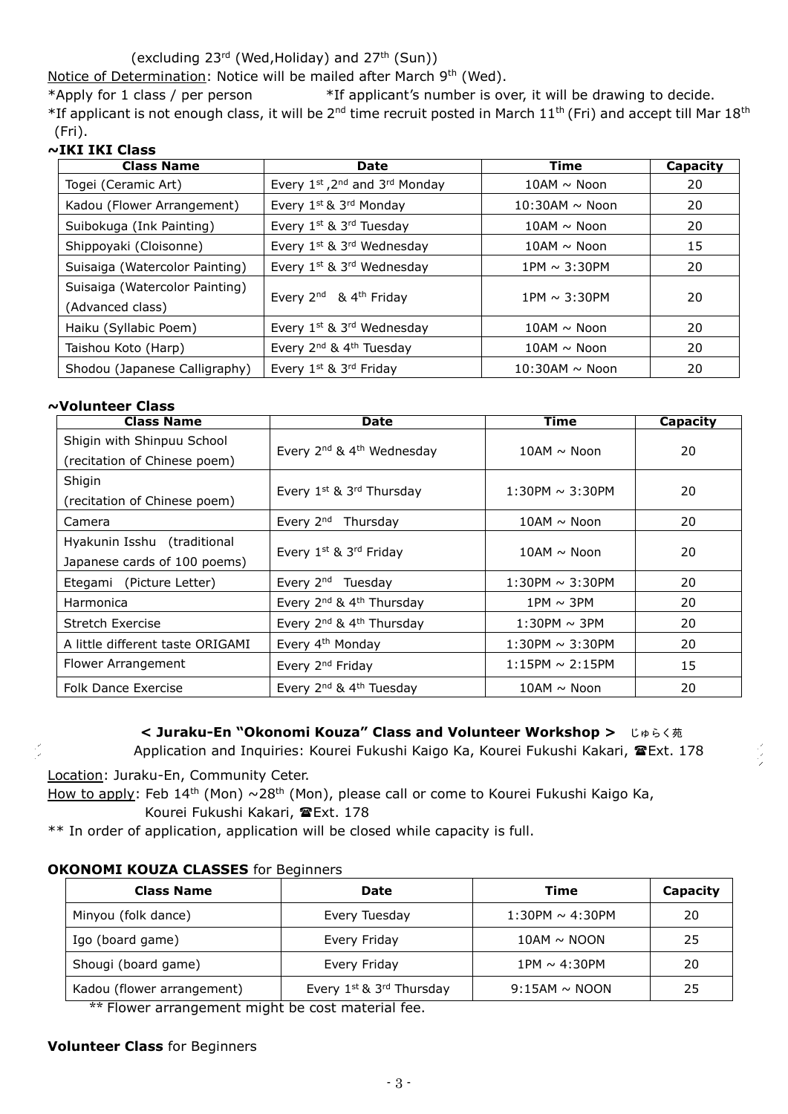(excluding 23rd (Wed,Holiday) and 27th (Sun))

Notice of Determination: Notice will be mailed after March 9th (Wed).

\*Apply for 1 class / per person \*If applicant's number is over, it will be drawing to decide. \*If applicant is not enough class, it will be 2<sup>nd</sup> time recruit posted in March 11<sup>th</sup> (Fri) and accept till Mar 18<sup>th</sup> (Fri).

## **~IKI IKI Class**

| <b>Class Name</b>                                  | Date                                              | Time              | Capacity |
|----------------------------------------------------|---------------------------------------------------|-------------------|----------|
| Togei (Ceramic Art)                                | Every 1st, 2nd and 3rd Monday                     | $10AM \sim$ Noon  | 20       |
| Kadou (Flower Arrangement)                         | Every 1st & 3rd Monday                            | $10:30$ AM ~ Noon | 20       |
| Suibokuga (Ink Painting)                           | Every 1st & 3rd Tuesday                           | $10AM \sim$ Noon  | 20       |
| Shippoyaki (Cloisonne)                             | Every 1st & 3rd Wednesday                         | $10AM \sim$ Noon  | 15       |
| Suisaiga (Watercolor Painting)                     | Every 1st & 3rd Wednesday                         | $1PM \sim 3:30PM$ | 20       |
| Suisaiga (Watercolor Painting)<br>(Advanced class) | Every 2 <sup>nd</sup> & 4 <sup>th</sup> Friday    | 1PM $\sim$ 3:30PM | 20       |
| Haiku (Syllabic Poem)                              | Every 1 <sup>st</sup> & 3 <sup>rd</sup> Wednesday | $10AM \sim$ Noon  | 20       |
| Taishou Koto (Harp)                                | Every 2 <sup>nd</sup> & 4 <sup>th</sup> Tuesday   | $10AM \sim$ Noon  | 20       |
| Shodou (Japanese Calligraphy)                      | Every 1st & 3rd Friday                            | $10:30$ AM ~ Noon | 20       |

#### **~Volunteer Class**

| <b>Class Name</b>                | <b>Date</b>                                                        | Time                 | Capacity |  |
|----------------------------------|--------------------------------------------------------------------|----------------------|----------|--|
| Shigin with Shinpuu School       |                                                                    | $10AM \sim$ Noon     | 20       |  |
| (recitation of Chinese poem)     | Every 2 <sup>nd</sup> & 4 <sup>th</sup> Wednesday                  |                      |          |  |
| Shigin                           |                                                                    |                      |          |  |
| (recitation of Chinese poem)     | Every 1st & 3rd Thursday                                           | $1:30PM \sim 3:30PM$ | 20       |  |
| Camera                           | Every 2 <sup>nd</sup> Thursday                                     | $10AM \sim$ Noon     | 20       |  |
| Hyakunin Isshu (traditional      |                                                                    |                      |          |  |
| Japanese cards of 100 poems)     | Every 1st & 3rd Friday                                             | $10AM \sim$ Noon     | 20       |  |
| Etegami (Picture Letter)         | Every 2 <sup>nd</sup> Tuesday                                      | $1:30$ PM ~ 3:30PM   | 20       |  |
| Harmonica                        | Every 2 <sup>nd</sup> & 4 <sup>th</sup> Thursday<br>$1PM \sim 3PM$ |                      | 20       |  |
| Stretch Exercise                 | Every 2 <sup>nd</sup> & 4 <sup>th</sup> Thursday                   | $1:30PM \sim 3PM$    | 20       |  |
| A little different taste ORIGAMI | Every 4 <sup>th</sup> Monday                                       | $1:30PM \sim 3:30PM$ | 20       |  |
| Flower Arrangement               | Every 2 <sup>nd</sup> Friday                                       | $1:15PM \sim 2:15PM$ | 15       |  |
| <b>Folk Dance Exercise</b>       | Every 2 <sup>nd</sup> & 4 <sup>th</sup> Tuesday                    | $10AM \sim$ Noon     | 20       |  |

**< Juraku-En "Okonomi Kouza" Class and Volunteer Workshop >** じゅらく苑 Application and Inquiries: Kourei Fukushi Kaigo Ka, Kourei Fukushi Kakari, <sup>T</sup>Ext. 178

Location: Juraku-En, Community Ceter.

How to apply: Feb 14<sup>th</sup> (Mon)  $\sim$ 28<sup>th</sup> (Mon), please call or come to Kourei Fukushi Kaigo Ka, Kourei Fukushi Kakari, **E**Ext. 178

\*\* In order of application, application will be closed while capacity is full.

## **OKONOMI KOUZA CLASSES** for Beginners

| <b>Date</b>                                    | Time                 | Capacity |
|------------------------------------------------|----------------------|----------|
| Every Tuesday                                  | $1:30PM \sim 4:30PM$ | 20       |
| Every Friday                                   | $10AM \sim NQON$     | 25       |
| Every Friday                                   | $1PM \sim 4:30PM$    | 20       |
| Every 1st & 3rd Thursday<br>$9:15AM \sim NOOD$ |                      | 25       |
|                                                |                      |          |

Flower arrangement might be cost material fee.

## **Volunteer Class** for Beginners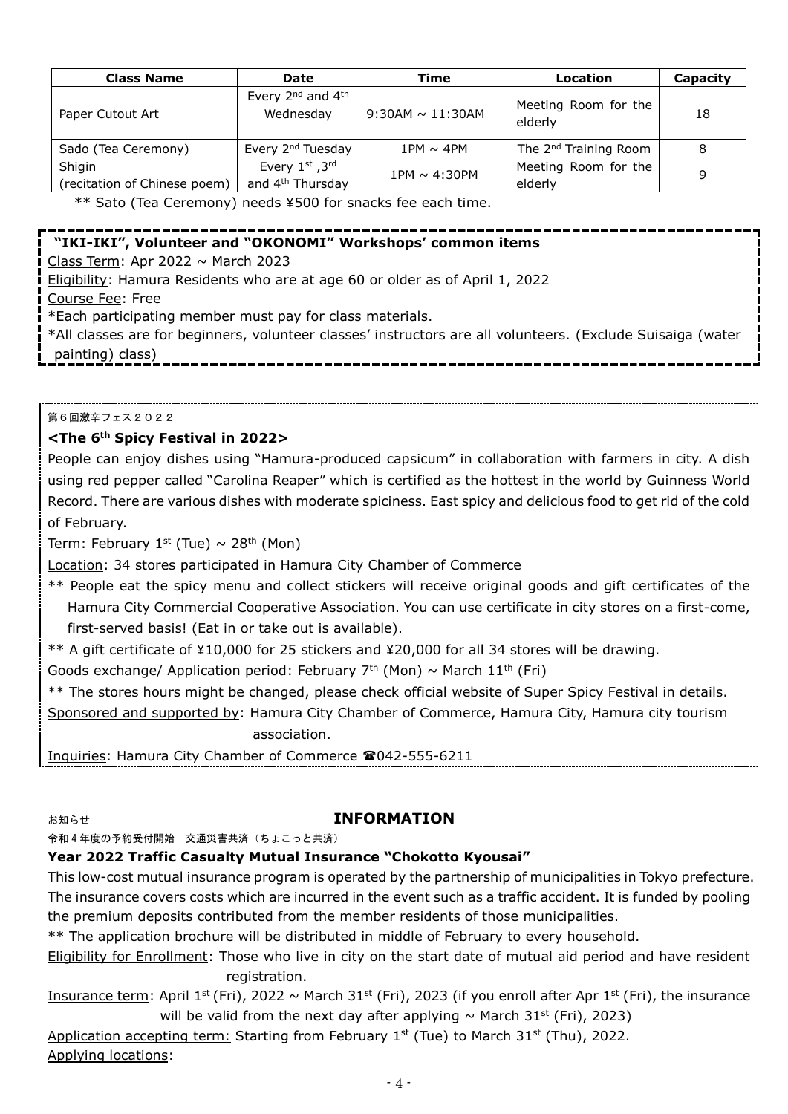| <b>Class Name</b>                      | Date                                                   | Time                  | Location                          | Capacity |
|----------------------------------------|--------------------------------------------------------|-----------------------|-----------------------------------|----------|
| Paper Cutout Art                       | Every 2 <sup>nd</sup> and 4 <sup>th</sup><br>Wednesday | $9:30AM \sim 11:30AM$ | Meeting Room for the<br>elderly   | 18       |
| Sado (Tea Ceremony)                    | Every 2 <sup>nd</sup> Tuesday                          | $1PM \sim 4PM$        | The 2 <sup>nd</sup> Training Room |          |
| Shigin<br>(recitation of Chinese poem) | Every 1st, 3rd<br>and 4 <sup>th</sup> Thursday         | 1PM $\sim$ 4:30PM     | Meeting Room for the<br>elderly   | q        |

\*\* Sato (Tea Ceremony) needs ¥500 for snacks fee each time.

# **"IKI-IKI", Volunteer and "OKONOMI" Workshops' common items**

Class Term: Apr 2022  $\sim$  March 2023

Eligibility: Hamura Residents who are at age 60 or older as of April 1, 2022 Course Fee: Free

\*Each participating member must pay for class materials.

\*All classes are for beginners, volunteer classes' instructors are all volunteers. (Exclude Suisaiga (water painting) class)

第6回激辛フェス2022

## **<The 6th Spicy Festival in 2022>**

People can enjoy dishes using "Hamura-produced capsicum" in collaboration with farmers in city. A dish using red pepper called "Carolina Reaper" which is certified as the hottest in the world by Guinness World Record. There are various dishes with moderate spiciness. East spicy and delicious food to get rid of the cold of February.

Term: February 1<sup>st</sup> (Tue)  $\sim$  28<sup>th</sup> (Mon)

Location: 34 stores participated in Hamura City Chamber of Commerce

\*\* People eat the spicy menu and collect stickers will receive original goods and gift certificates of the Hamura City Commercial Cooperative Association. You can use certificate in city stores on a first-come, first-served basis! (Eat in or take out is available).

\*\* A gift certificate of ¥10,000 for 25 stickers and ¥20,000 for all 34 stores will be drawing.

Goods exchange/ Application period: February 7<sup>th</sup> (Mon)  $\sim$  March 11<sup>th</sup> (Fri)

\*\* The stores hours might be changed, please check official website of Super Spicy Festival in details.

Sponsored and supported by: Hamura City Chamber of Commerce, Hamura City, Hamura city tourism association.

Inquiries: Hamura City Chamber of Commerce 2042-555-6211

## お知らせ **INFORMATION**

#### 令和 4 年度の予約受付開始 交通災害共済(ちょこっと共済)

## **Year 2022 Traffic Casualty Mutual Insurance "Chokotto Kyousai"**

This low-cost mutual insurance program is operated by the partnership of municipalities in Tokyo prefecture. The insurance covers costs which are incurred in the event such as a traffic accident. It is funded by pooling the premium deposits contributed from the member residents of those municipalities.

\*\* The application brochure will be distributed in middle of February to every household.

Eligibility for Enrollment: Those who live in city on the start date of mutual aid period and have resident registration.

Insurance term: April 1<sup>st</sup> (Fri), 2022 ~ March 31<sup>st</sup> (Fri), 2023 (if you enroll after Apr 1<sup>st</sup> (Fri), the insurance will be valid from the next day after applying  $\sim$  March 31<sup>st</sup> (Fri), 2023)

Application accepting term: Starting from February 1st (Tue) to March  $31^{st}$  (Thu), 2022. Applying locations: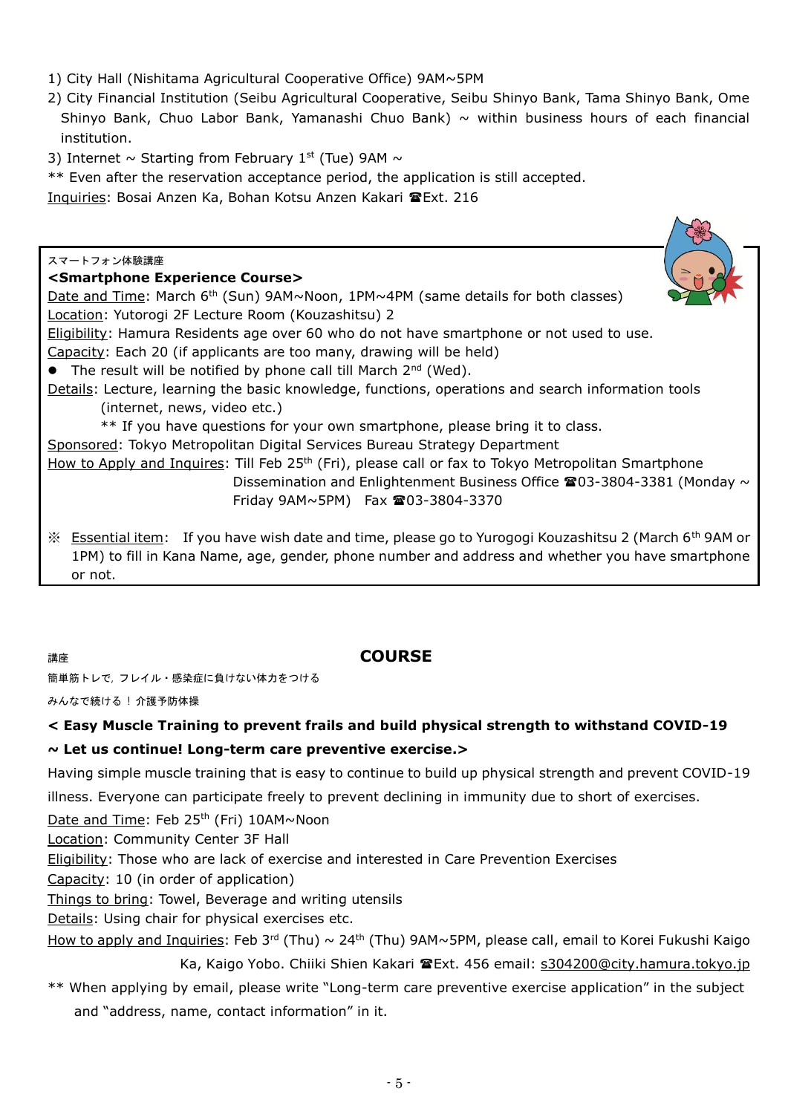- 1) City Hall (Nishitama Agricultural Cooperative Office) 9AM~5PM
- 2) City Financial Institution (Seibu Agricultural Cooperative, Seibu Shinyo Bank, Tama Shinyo Bank, Ome Shinyo Bank, Chuo Labor Bank, Yamanashi Chuo Bank)  $\sim$  within business hours of each financial institution.
- 3) Internet  $\sim$  Starting from February 1st (Tue) 9AM  $\sim$
- \*\* Even after the reservation acceptance period, the application is still accepted.
- Inquiries: Bosai Anzen Ka, Bohan Kotsu Anzen Kakari Ext. 216

| スマートフォン体験講座                                                                                                                                                                                                                             |
|-----------------------------------------------------------------------------------------------------------------------------------------------------------------------------------------------------------------------------------------|
| <smartphone course="" experience=""></smartphone>                                                                                                                                                                                       |
| Date and Time: March $6th$ (Sun) 9AM~Noon, 1PM~4PM (same details for both classes)                                                                                                                                                      |
| Location: Yutorogi 2F Lecture Room (Kouzashitsu) 2                                                                                                                                                                                      |
| Eligibility: Hamura Residents age over 60 who do not have smartphone or not used to use.                                                                                                                                                |
| Capacity: Each 20 (if applicants are too many, drawing will be held)                                                                                                                                                                    |
| • The result will be notified by phone call till March 2nd (Wed).                                                                                                                                                                       |
| Details: Lecture, learning the basic knowledge, functions, operations and search information tools                                                                                                                                      |
| (internet, news, video etc.)                                                                                                                                                                                                            |
| ** If you have questions for your own smartphone, please bring it to class.                                                                                                                                                             |
| Sponsored: Tokyo Metropolitan Digital Services Bureau Strategy Department                                                                                                                                                               |
| How to Apply and Inquires: Till Feb 25 <sup>th</sup> (Fri), please call or fax to Tokyo Metropolitan Smartphone                                                                                                                         |
| Dissemination and Enlightenment Business Office $\mathbf{\Omega}03$ -3804-3381 (Monday $\sim$                                                                                                                                           |
| Friday 9AM~5PM) Fax 203-3804-3370                                                                                                                                                                                                       |
| <b>Essential item:</b> If you have wish date and time, please go to Yurogogi Kouzashitsu 2 (March 6 <sup>th</sup> 9AM or<br>$\cdot$<br>1PM) to fill in Kana Name, age, gender, phone number and address and whether you have smartphone |

or not.

# 講座 **COURSE**

簡単筋トレで, フレイル・感染症に負けない体力をつける

みんなで続ける ! 介護予防体操

## **< Easy Muscle Training to prevent frails and build physical strength to withstand COVID-19**

## **~ Let us continue! Long-term care preventive exercise.>**

Having simple muscle training that is easy to continue to build up physical strength and prevent COVID-19

illness. Everyone can participate freely to prevent declining in immunity due to short of exercises.

Date and Time: Feb 25<sup>th</sup> (Fri) 10AM~Noon

Location: Community Center 3F Hall

Eligibility: Those who are lack of exercise and interested in Care Prevention Exercises

Capacity: 10 (in order of application)

Things to bring: Towel, Beverage and writing utensils

Details: Using chair for physical exercises etc.

How to apply and Inquiries: Feb 3rd (Thu)  $\sim 24$ <sup>th</sup> (Thu) 9AM~5PM, please call, email to Korei Fukushi Kaigo

Ka, Kaigo Yobo. Chiiki Shien Kakari TExt. 456 email: [s304200@city.hamura.tokyo.jp](mailto:s304200@city.hamura.tokyo.jp)

\*\* When applying by email, please write "Long-term care preventive exercise application" in the subject and "address, name, contact information" in it.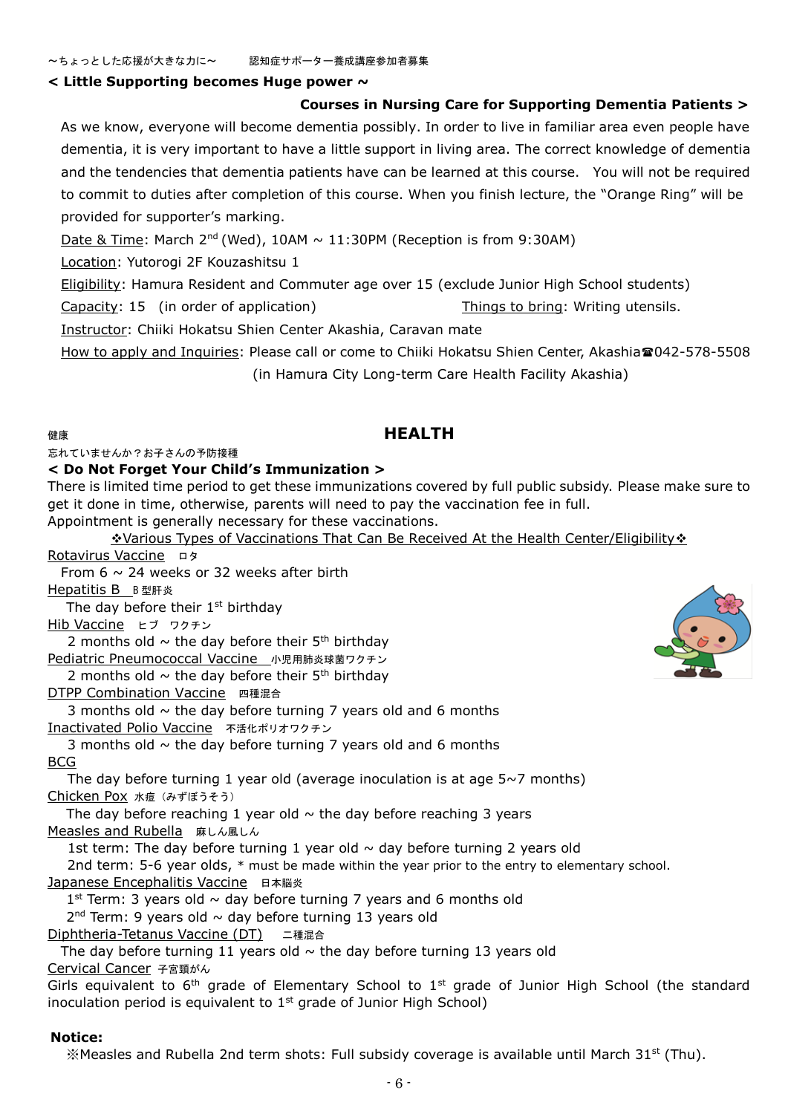#### **< Little Supporting becomes Huge power ~**

#### **Courses in Nursing Care for Supporting Dementia Patients >**

As we know, everyone will become dementia possibly. In order to live in familiar area even people have dementia, it is very important to have a little support in living area. The correct knowledge of dementia and the tendencies that dementia patients have can be learned at this course. You will not be required to commit to duties after completion of this course. When you finish lecture, the "Orange Ring" will be provided for supporter's marking.

Date & Time: March  $2^{nd}$  (Wed),  $10AM \sim 11:30PM$  (Reception is from 9:30AM)

Location: Yutorogi 2F Kouzashitsu 1

Eligibility: Hamura Resident and Commuter age over 15 (exclude Junior High School students)

Capacity: 15 (in order of application) Things to bring: Writing utensils.

Instructor: Chiiki Hokatsu Shien Center Akashia, Caravan mate

How to apply and Inquiries: Please call or come to Chiiki Hokatsu Shien Center, Akashia<sup>2</sup>042-578-5508 (in Hamura City Long-term Care Health Facility Akashia)

## 健康 **HEALTH**

忘れていませんか?お子さんの予防接種

#### **< Do Not Forget Your Child's Immunization >**

There is limited time period to get these immunizations covered by full public subsidy. Please make sure to get it done in time, otherwise, parents will need to pay the vaccination fee in full. Appointment is generally necessary for these vaccinations.

Various Types of Vaccinations That Can Be Received At the Health Center/Eligibility

## Rotavirus Vaccine ロタ From  $6 \sim 24$  weeks or 32 weeks after birth Hepatitis B B 型肝炎 The day before their  $1<sup>st</sup>$  birthday Hib Vaccine ヒブ ワクチン 2 months old  $\sim$  the day before their 5<sup>th</sup> birthday Pediatric Pneumococcal Vaccine 小児用肺炎球菌ワクチン 2 months old  $\sim$  the day before their 5<sup>th</sup> birthday DTPP Combination Vaccine 四種混合 3 months old  $\sim$  the day before turning 7 years old and 6 months Inactivated Polio Vaccine 不活化ポリオワクチン 3 months old  $\sim$  the day before turning 7 years old and 6 months BCG The day before turning 1 year old (average inoculation is at age  $5~\sim7$  months) Chicken Pox 水痘 (みずぼうそう) The day before reaching 1 year old  $\sim$  the day before reaching 3 years Measles and Rubella 麻しん風しん 1st term: The day before turning 1 year old  $\sim$  day before turning 2 years old 2nd term: 5-6 year olds, \* must be made within the year prior to the entry to elementary school. Japanese Encephalitis Vaccine 日本脳炎  $1<sup>st</sup>$  Term: 3 years old  $\sim$  day before turning 7 years and 6 months old  $2<sup>nd</sup>$  Term: 9 years old  $\sim$  day before turning 13 years old Diphtheria-Tetanus Vaccine (DT) 二種混合 The day before turning 11 years old  $\sim$  the day before turning 13 years old Cervical Cancer 子宮頸がん Girls equivalent to  $6<sup>th</sup>$  grade of Elementary School to  $1<sup>st</sup>$  grade of Junior High School (the standard inoculation period is equivalent to  $1<sup>st</sup>$  grade of Junior High School) **Notice:**

※Measles and Rubella 2nd term shots: Full subsidy coverage is available until March 31 st (Thu).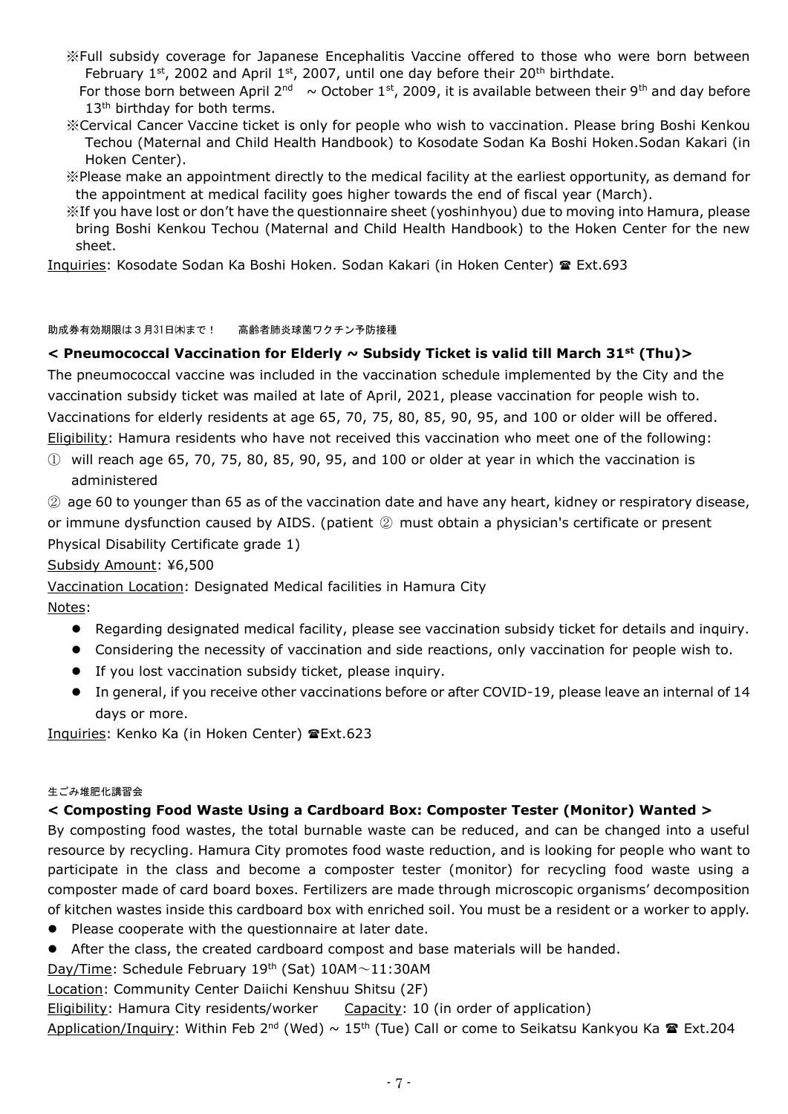- ※Full subsidy coverage for Japanese Encephalitis Vaccine offered to those who were born between February 1st, 2002 and April 1st, 2007, until one day before their 20<sup>th</sup> birthdate.
- For those born between April 2<sup>nd</sup> ~ October 1<sup>st</sup>, 2009, it is available between their 9<sup>th</sup> and day before 13<sup>th</sup> birthday for both terms.
- ※Cervical Cancer Vaccine ticket is only for people who wish to vaccination. Please bring Boshi Kenkou Techou (Maternal and Child Health Handbook) to Kosodate Sodan Ka Boshi Hoken.Sodan Kakari (in Hoken Center).
- ※Please make an appointment directly to the medical facility at the earliest opportunity, as demand for the appointment at medical facility goes higher towards the end of fiscal year (March).
- ※If you have lost or don't have the questionnaire sheet (yoshinhyou) due to moving into Hamura, please bring Boshi Kenkou Techou (Maternal and Child Health Handbook) to the Hoken Center for the new sheet.

Inquiries: Kosodate Sodan Ka Boshi Hoken. Sodan Kakari (in Hoken Center) Ext.693

#### 助成券有効期限は3月31日㈭まで! 高齢者肺炎球菌ワクチン予防接種

## **< Pneumococcal Vaccination for Elderly ~ Subsidy Ticket is valid till March 31st (Thu)>**

The pneumococcal vaccine was included in the vaccination schedule implemented by the City and the vaccination subsidy ticket was mailed at late of April, 2021, please vaccination for people wish to. Vaccinations for elderly residents at age 65, 70, 75, 80, 85, 90, 95, and 100 or older will be offered. Eligibility: Hamura residents who have not received this vaccination who meet one of the following:

 $\Omega$  will reach age 65, 70, 75, 80, 85, 90, 95, and 100 or older at year in which the vaccination is administered

② age 60 to younger than 65 as of the vaccination date and have any heart, kidney or respiratory disease, or immune dysfunction caused by AIDS. (patient ② must obtain a physician's certificate or present Physical Disability Certificate grade 1)

Subsidy Amount: ¥6,500

Vaccination Location: Designated Medical facilities in Hamura City

Notes:

- Regarding designated medical facility, please see vaccination subsidy ticket for details and inquiry.
- Considering the necessity of vaccination and side reactions, only vaccination for people wish to.
- If you lost vaccination subsidy ticket, please inquiry.
- In general, if you receive other vaccinations before or after COVID-19, please leave an internal of 14 days or more.

Inquiries: Kenko Ka (in Hoken Center) @Ext.623

#### 生ごみ堆肥化講習会

## **< Composting Food Waste Using a Cardboard Box: Composter Tester (Monitor) Wanted >**

By composting food wastes, the total burnable waste can be reduced, and can be changed into a useful resource by recycling. Hamura City promotes food waste reduction, and is looking for people who want to participate in the class and become a composter tester (monitor) for recycling food waste using a composter made of card board boxes. Fertilizers are made through microscopic organisms' decomposition of kitchen wastes inside this cardboard box with enriched soil. You must be a resident or a worker to apply.

- Please cooperate with the questionnaire at later date.
- After the class, the created cardboard compost and base materials will be handed.

Day/Time: Schedule February 19<sup>th</sup> (Sat) 10AM~11:30AM

Location: Community Center Daiichi Kenshuu Shitsu (2F)

Eligibility: Hamura City residents/worker Capacity: 10 (in order of application)

Application/Inquiry: Within Feb 2<sup>nd</sup> (Wed) ~ 15<sup>th</sup> (Tue) Call or come to Seikatsu Kankyou Ka **@** Ext.204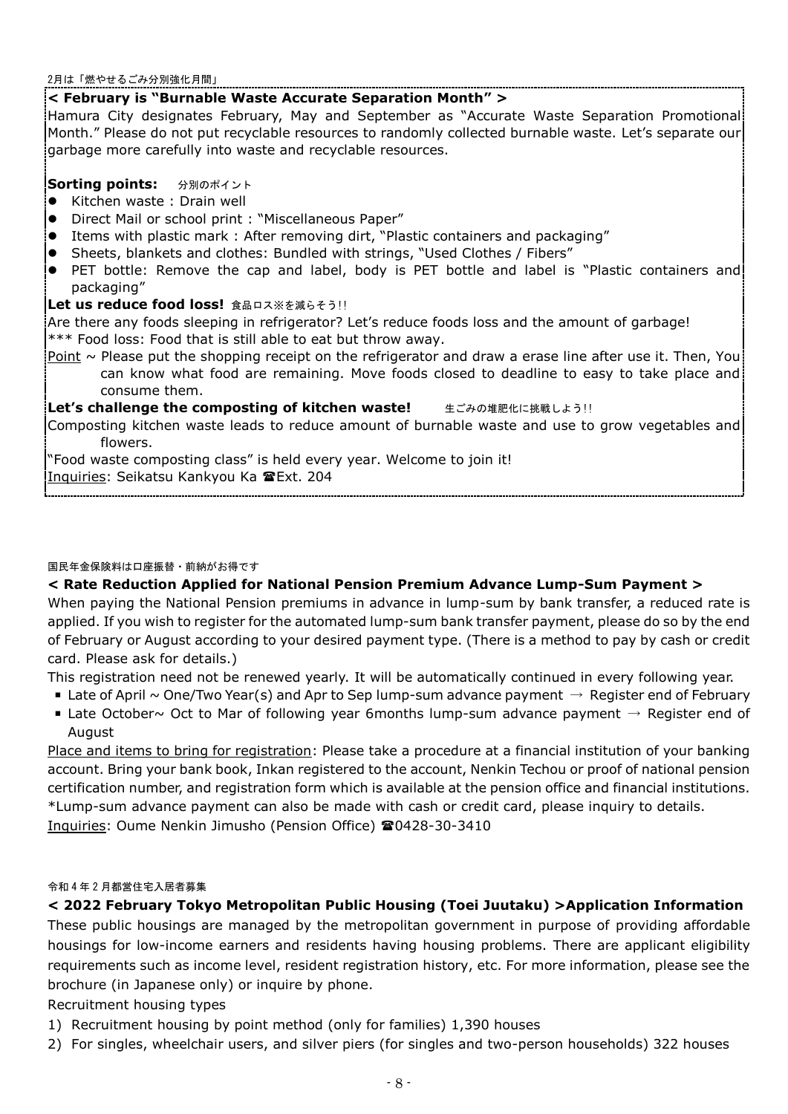2月は「燃やせるごみ分別強化月間」

## **< February is "Burnable Waste Accurate Separation Month" >**

Hamura City designates February, May and September as "Accurate Waste Separation Promotional Month." Please do not put recyclable resources to randomly collected burnable waste. Let's separate our garbage more carefully into waste and recyclable resources.

## **Sorting points:** 分別のポイント

- Kitchen waste: Drain well
- **Direct Mail or school print : "Miscellaneous Paper"**
- Items with plastic mark : After removing dirt, "Plastic containers and packaging"
- Sheets, blankets and clothes: Bundled with strings, "Used Clothes / Fibers"
- PET bottle: Remove the cap and label, body is PET bottle and label is "Plastic containers and packaging"

#### **Let us reduce food loss! 食品ロス※を減らそう!!**

Are there any foods sleeping in refrigerator? Let's reduce foods loss and the amount of garbage! \*\*\* Food loss: Food that is still able to eat but throw away.

Point  $\sim$  Please put the shopping receipt on the refrigerator and draw a erase line after use it. Then, You can know what food are remaining. Move foods closed to deadline to easy to take place and consume them.

## **Let's challenge the composting of kitchen waste! 生ごみの堆肥化に挑戦しよう!!**

Composting kitchen waste leads to reduce amount of burnable waste and use to grow vegetables and flowers.

"Food waste composting class" is held every year. Welcome to join it! Inquiries: Seikatsu Kankyou Ka Ext. 204

#### 国民年金保険料は口座振替・前納がお得です

## **< Rate Reduction Applied for National Pension Premium Advance Lump-Sum Payment >**

When paying the National Pension premiums in advance in lump-sum by bank transfer, a reduced rate is applied. If you wish to register for the automated lump-sum bank transfer payment, please do so by the end of February or August according to your desired payment type. (There is a method to pay by cash or credit card. Please ask for details.)

This registration need not be renewed yearly. It will be automatically continued in every following year.

- **Late of April ~ One/Two Year(s) and Apr to Sep lump-sum advance payment**  $\rightarrow$  **Register end of February**
- **Late October~ Oct to Mar of following year 6months lump-sum advance payment**  $\rightarrow$  **Register end of** August

Place and items to bring for registration: Please take a procedure at a financial institution of your banking account. Bring your bank book, Inkan registered to the account, Nenkin Techou or proof of national pension certification number, and registration form which is available at the pension office and financial institutions. \*Lump-sum advance payment can also be made with cash or credit card, please inquiry to details.

Inquiries: Oume Nenkin Jimusho (Pension Office) 20428-30-3410

#### 令和 4 年 2 月都営住宅入居者募集

## **< 2022 February Tokyo Metropolitan Public Housing (Toei Juutaku) >Application Information**

These public housings are managed by the metropolitan government in purpose of providing affordable housings for low-income earners and residents having housing problems. There are applicant eligibility requirements such as income level, resident registration history, etc. For more information, please see the brochure (in Japanese only) or inquire by phone.

## Recruitment housing types

- 1) Recruitment housing by point method (only for families) 1,390 houses
- 2) For singles, wheelchair users, and silver piers (for singles and two-person households) 322 houses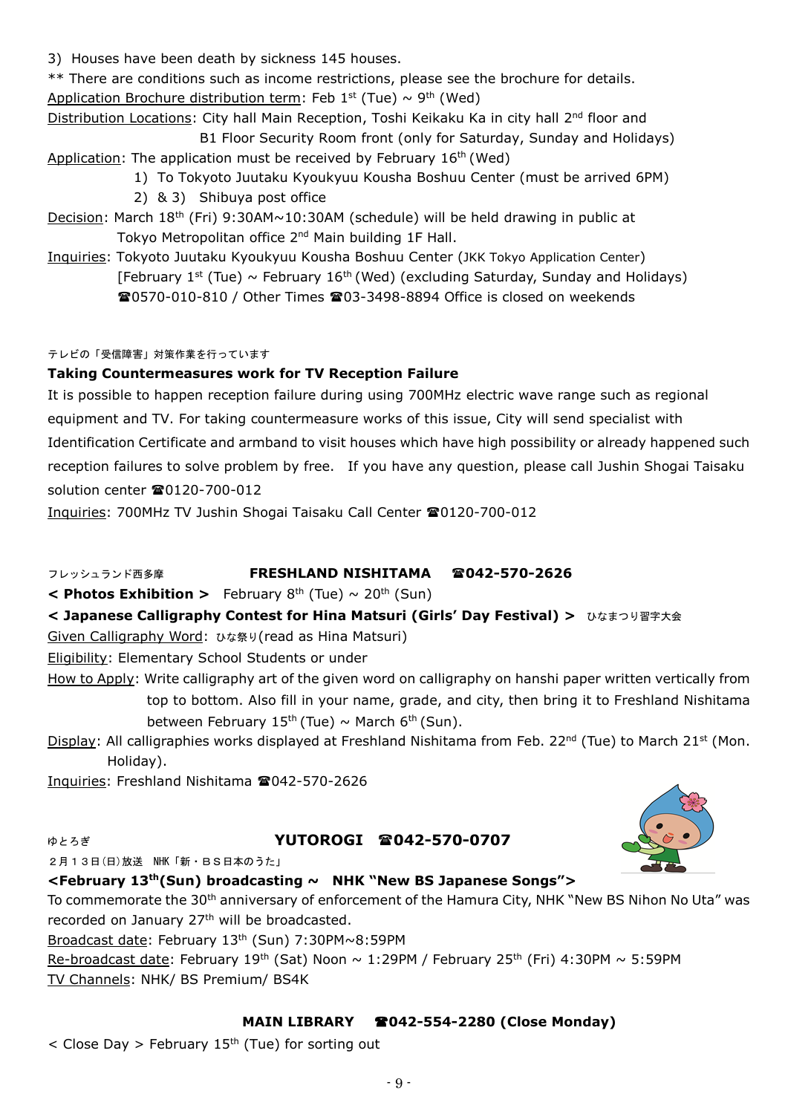3) Houses have been death by sickness 145 houses.

\*\* There are conditions such as income restrictions, please see the brochure for details. Application Brochure distribution term: Feb 1<sup>st</sup> (Tue)  $\sim$  9<sup>th</sup> (Wed)

Distribution Locations: City hall Main Reception, Toshi Keikaku Ka in city hall 2<sup>nd</sup> floor and B1 Floor Security Room front (only for Saturday, Sunday and Holidays)

- Application: The application must be received by February 16<sup>th</sup> (Wed)
	- 1) To Tokyoto Juutaku Kyoukyuu Kousha Boshuu Center (must be arrived 6PM)
	- 2) & 3) Shibuya post office
- Decision: March 18<sup>th</sup> (Fri) 9:30AM~10:30AM (schedule) will be held drawing in public at Tokyo Metropolitan office 2<sup>nd</sup> Main building 1F Hall.
- Inquiries: Tokyoto Juutaku Kyoukyuu Kousha Boshuu Center (JKK Tokyo Application Center) [February 1<sup>st</sup> (Tue) ~ February 16<sup>th</sup> (Wed) (excluding Saturday, Sunday and Holidays) 0570-010-810 / Other Times 03-3498-8894 Office is closed on weekends

## テレビの「受信障害」対策作業を行っています

## **Taking Countermeasures work for TV Reception Failure**

It is possible to happen reception failure during using 700MHz electric wave range such as regional equipment and TV. For taking countermeasure works of this issue, City will send specialist with Identification Certificate and armband to visit houses which have high possibility or already happened such reception failures to solve problem by free. If you have any question, please call Jushin Shogai Taisaku solution center **20120-700-012** 

Inquiries: 700MHz TV Jushin Shogai Taisaku Call Center 20120-700-012

# フレッシュランド西多摩 **FRESHLAND NISHITAMA 042-570-2626**

 $\leq$  **Photos Exhibition** > February 8<sup>th</sup> (Tue)  $\sim$  20<sup>th</sup> (Sun)

**< Japanese Calligraphy Contest for Hina Matsuri (Girls' Day Festival) >** ひなまつり習字大会

Given Calligraphy Word: ひな祭り(read as Hina Matsuri)

Eligibility: Elementary School Students or under

- How to Apply: Write calligraphy art of the given word on calligraphy on hanshi paper written vertically from top to bottom. Also fill in your name, grade, and city, then bring it to Freshland Nishitama between February 15<sup>th</sup> (Tue)  $\sim$  March 6<sup>th</sup> (Sun).
- Display: All calligraphies works displayed at Freshland Nishitama from Feb. 22<sup>nd</sup> (Tue) to March 21<sup>st</sup> (Mon. Holiday).

Inquiries: Freshland Nishitama 2042-570-2626

# ゆとろぎ **YUTOROGI 042-570-0707**



# **<February 13th(Sun) broadcasting ~ NHK "New BS Japanese Songs">**

To commemorate the 30<sup>th</sup> anniversary of enforcement of the Hamura City, NHK "New BS Nihon No Uta" was recorded on January 27th will be broadcasted.

Broadcast date: February 13th (Sun) 7:30PM~8:59PM

Re-broadcast date: February 19<sup>th</sup> (Sat) Noon  $\sim$  1:29PM / February 25<sup>th</sup> (Fri) 4:30PM  $\sim$  5:59PM TV Channels: NHK/ BS Premium/ BS4K

# **MAIN LIBRARY 042-554-2280 (Close Monday)**

 $\langle$  Close Day > February 15<sup>th</sup> (Tue) for sorting out

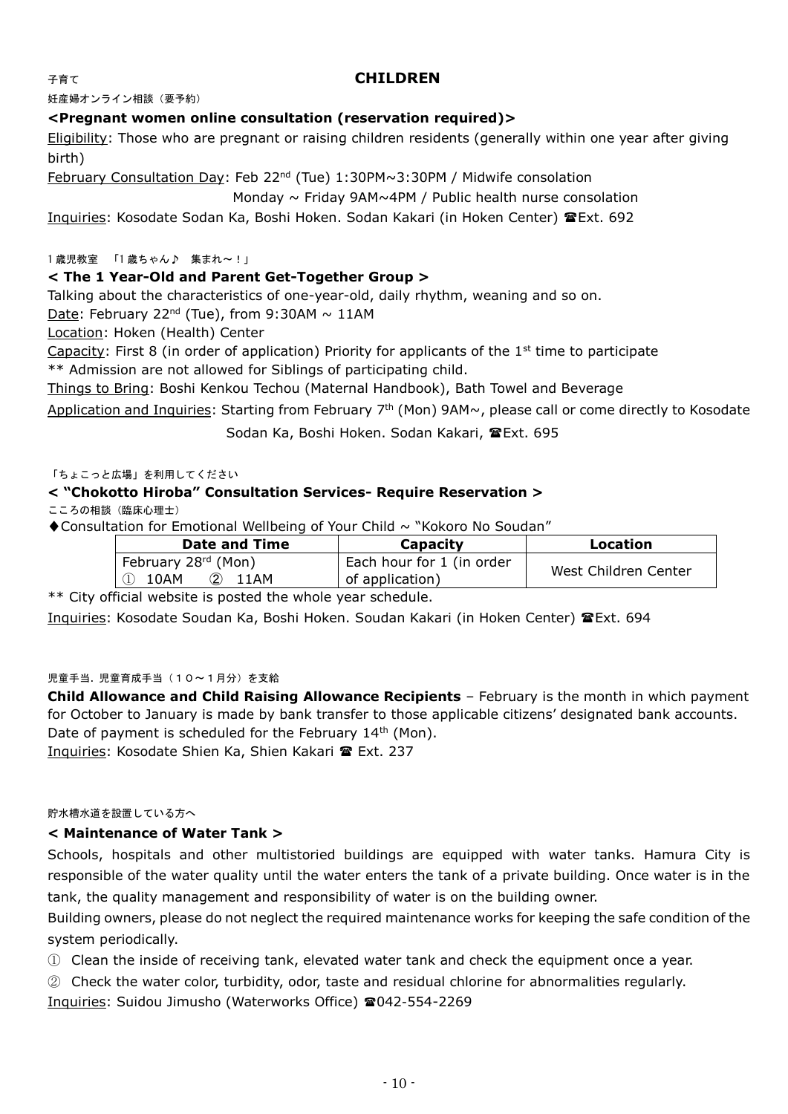## 子育て **CHILDREN**

妊産婦オンライン相談(要予約)

#### **<Pregnant women online consultation (reservation required)>**

Eligibility: Those who are pregnant or raising children residents (generally within one year after giving birth)

February Consultation Day: Feb 22nd (Tue) 1:30PM~3:30PM / Midwife consolation

Monday  $\sim$  Friday 9AM $\sim$ 4PM / Public health nurse consolation

Inquiries: Kosodate Sodan Ka, Boshi Hoken. Sodan Kakari (in Hoken Center) TExt. 692

1 歳児教室 「1 歳ちゃん♪ 集まれ~!」

#### **< The 1 Year-Old and Parent Get-Together Group >**

Talking about the characteristics of one-year-old, daily rhythm, weaning and so on.

Date: February 22<sup>nd</sup> (Tue), from 9:30AM  $\sim$  11AM

Location: Hoken (Health) Center

Capacity: First 8 (in order of application) Priority for applicants of the  $1<sup>st</sup>$  time to participate \*\* Admission are not allowed for Siblings of participating child.

Things to Bring: Boshi Kenkou Techou (Maternal Handbook), Bath Towel and Beverage

Application and Inquiries: Starting from February 7<sup>th</sup> (Mon) 9AM~, please call or come directly to Kosodate

Sodan Ka, Boshi Hoken. Sodan Kakari, TExt. 695

#### 「ちょこっと広場」を利用してください

#### **< "Chokotto Hiroba" Consultation Services- Require Reservation >**

こころの相談 (臨床心理士)

◆Consultation for Emotional Wellbeing of Your Child ~ "Kokoro No Soudan"

| Location             |  |
|----------------------|--|
| West Children Center |  |
|                      |  |

\*\* City official website is posted the whole year schedule.

Inquiries: Kosodate Soudan Ka, Boshi Hoken. Soudan Kakari (in Hoken Center) Ext. 694

#### 児童手当. 児童育成手当(10~1月分)を支給

**Child Allowance and Child Raising Allowance Recipients** – February is the month in which payment for October to January is made by bank transfer to those applicable citizens' designated bank accounts. Date of payment is scheduled for the February 14<sup>th</sup> (Mon).

Inquiries: Kosodate Shien Ka, Shien Kakari Ext. 237

#### 貯水槽水道を設置している方へ

#### **< Maintenance of Water Tank >**

Schools, hospitals and other multistoried buildings are equipped with water tanks. Hamura City is responsible of the water quality until the water enters the tank of a private building. Once water is in the tank, the quality management and responsibility of water is on the building owner.

Building owners, please do not neglect the required maintenance works for keeping the safe condition of the system periodically.

① Clean the inside of receiving tank, elevated water tank and check the equipment once a year.

② Check the water color, turbidity, odor, taste and residual chlorine for abnormalities regularly.

Inquiries: Suidou Jimusho (Waterworks Office) 2042-554-2269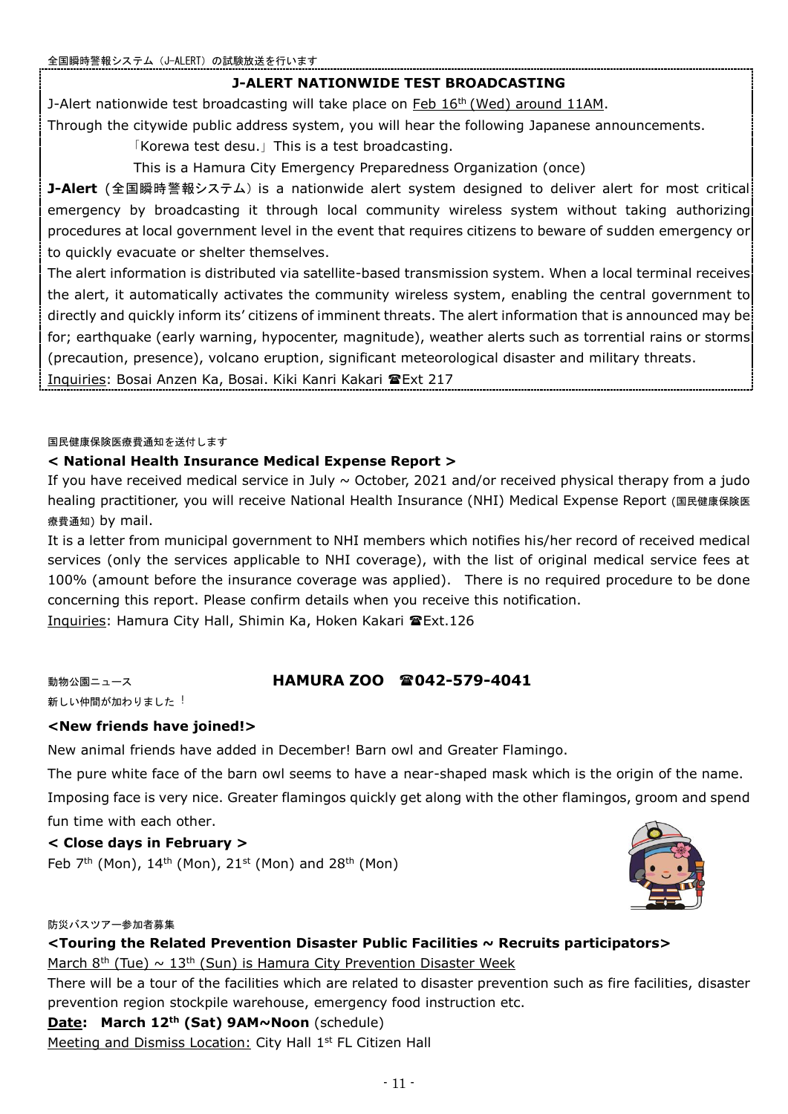## **J-ALERT NATIONWIDE TEST BROADCASTING**

J-Alert nationwide test broadcasting will take place on Feb  $16<sup>th</sup>$  (Wed) around 11AM.

Through the citywide public address system, you will hear the following Japanese announcements.

「Korewa test desu.」This is a test broadcasting.

This is a Hamura City Emergency Preparedness Organization (once)

**J-Alert** (全国瞬時警報システム) is a nationwide alert system designed to deliver alert for most critical emergency by broadcasting it through local community wireless system without taking authorizing procedures at local government level in the event that requires citizens to beware of sudden emergency or to quickly evacuate or shelter themselves.

The alert information is distributed via satellite-based transmission system. When a local terminal receives the alert, it automatically activates the community wireless system, enabling the central government to directly and quickly inform its' citizens of imminent threats. The alert information that is announced may be for; earthquake (early warning, hypocenter, magnitude), weather alerts such as torrential rains or storms (precaution, presence), volcano eruption, significant meteorological disaster and military threats.

Inquiries: Bosai Anzen Ka, Bosai. Kiki Kanri Kakari TExt 217

#### 国民健康保険医療費通知を送付します

## **< National Health Insurance Medical Expense Report >**

If you have received medical service in July  $\sim$  October, 2021 and/or received physical therapy from a judo healing practitioner, you will receive National Health Insurance (NHI) Medical Expense Report (国民健康保険医 療費通知) by mail.

It is a letter from municipal government to NHI members which notifies his/her record of received medical services (only the services applicable to NHI coverage), with the list of original medical service fees at 100% (amount before the insurance coverage was applied). There is no required procedure to be done concerning this report. Please confirm details when you receive this notification.

Inquiries: Hamura City Hall, Shimin Ka, Hoken Kakari TExt.126

## 動物公園ニュース **HAMURA ZOO 雷042-579-4041**

新しい仲間が加わりました!

## **<New friends have joined!>**

New animal friends have added in December! Barn owl and Greater Flamingo.

The pure white face of the barn owl seems to have a near-shaped mask which is the origin of the name.

Imposing face is very nice. Greater flamingos quickly get along with the other flamingos, groom and spend fun time with each other.

## **< Close days in February >**

Feb  $7<sup>th</sup>$  (Mon),  $14<sup>th</sup>$  (Mon),  $21<sup>st</sup>$  (Mon) and  $28<sup>th</sup>$  (Mon)



#### 防災バスツアー参加者募集

**<Touring the Related Prevention Disaster Public Facilities ~ Recruits participators>**

March 8<sup>th</sup> (Tue)  $\sim 13$ <sup>th</sup> (Sun) is Hamura City Prevention Disaster Week

There will be a tour of the facilities which are related to disaster prevention such as fire facilities, disaster prevention region stockpile warehouse, emergency food instruction etc.

## **Date: March 12th (Sat) 9AM~Noon** (schedule)

Meeting and Dismiss Location: City Hall 1<sup>st</sup> FL Citizen Hall